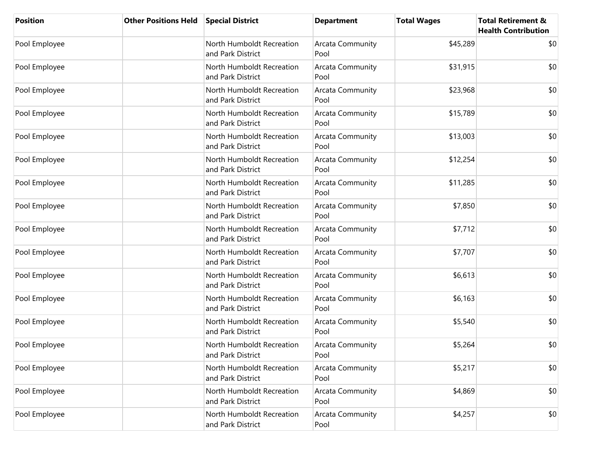| <b>Position</b> | <b>Other Positions Held</b> | <b>Special District</b>                        | <b>Department</b>               | <b>Total Wages</b> | <b>Total Retirement &amp;</b><br><b>Health Contribution</b> |
|-----------------|-----------------------------|------------------------------------------------|---------------------------------|--------------------|-------------------------------------------------------------|
| Pool Employee   |                             | North Humboldt Recreation<br>and Park District | Arcata Community<br>Pool        | \$45,289           | \$0                                                         |
| Pool Employee   |                             | North Humboldt Recreation<br>and Park District | Arcata Community<br>Pool        | \$31,915           | \$0                                                         |
| Pool Employee   |                             | North Humboldt Recreation<br>and Park District | Arcata Community<br>Pool        | \$23,968           | \$0                                                         |
| Pool Employee   |                             | North Humboldt Recreation<br>and Park District | Arcata Community<br>Pool        | \$15,789           | \$0                                                         |
| Pool Employee   |                             | North Humboldt Recreation<br>and Park District | Arcata Community<br>Pool        | \$13,003           | \$0                                                         |
| Pool Employee   |                             | North Humboldt Recreation<br>and Park District | Arcata Community<br>Pool        | \$12,254           | \$0                                                         |
| Pool Employee   |                             | North Humboldt Recreation<br>and Park District | Arcata Community<br>Pool        | \$11,285           | \$0                                                         |
| Pool Employee   |                             | North Humboldt Recreation<br>and Park District | Arcata Community<br>Pool        | \$7,850            | \$0                                                         |
| Pool Employee   |                             | North Humboldt Recreation<br>and Park District | <b>Arcata Community</b><br>Pool | \$7,712            | \$0                                                         |
| Pool Employee   |                             | North Humboldt Recreation<br>and Park District | Arcata Community<br>Pool        | \$7,707            | \$0                                                         |
| Pool Employee   |                             | North Humboldt Recreation<br>and Park District | Arcata Community<br>Pool        | \$6,613            | \$0                                                         |
| Pool Employee   |                             | North Humboldt Recreation<br>and Park District | Arcata Community<br>Pool        | \$6,163            | \$0                                                         |
| Pool Employee   |                             | North Humboldt Recreation<br>and Park District | Arcata Community<br>Pool        | \$5,540            | \$0                                                         |
| Pool Employee   |                             | North Humboldt Recreation<br>and Park District | Arcata Community<br>Pool        | \$5,264            | \$0                                                         |
| Pool Employee   |                             | North Humboldt Recreation<br>and Park District | Arcata Community<br>Pool        | \$5,217            | \$0                                                         |
| Pool Employee   |                             | North Humboldt Recreation<br>and Park District | Arcata Community<br>Pool        | \$4,869            | \$0                                                         |
| Pool Employee   |                             | North Humboldt Recreation<br>and Park District | Arcata Community<br>Pool        | \$4,257            | \$0                                                         |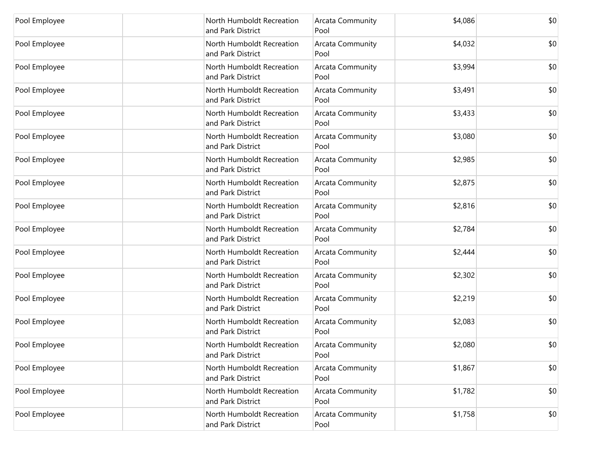| Pool Employee | North Humboldt Recreation<br>and Park District | <b>Arcata Community</b><br>Pool | \$4,086 | \$0 |
|---------------|------------------------------------------------|---------------------------------|---------|-----|
| Pool Employee | North Humboldt Recreation<br>and Park District | Arcata Community<br>Pool        | \$4,032 | \$0 |
| Pool Employee | North Humboldt Recreation<br>and Park District | <b>Arcata Community</b><br>Pool | \$3,994 | \$0 |
| Pool Employee | North Humboldt Recreation<br>and Park District | <b>Arcata Community</b><br>Pool | \$3,491 | \$0 |
| Pool Employee | North Humboldt Recreation<br>and Park District | Arcata Community<br>Pool        | \$3,433 | \$0 |
| Pool Employee | North Humboldt Recreation<br>and Park District | Arcata Community<br>Pool        | \$3,080 | \$0 |
| Pool Employee | North Humboldt Recreation<br>and Park District | Arcata Community<br>Pool        | \$2,985 | \$0 |
| Pool Employee | North Humboldt Recreation<br>and Park District | <b>Arcata Community</b><br>Pool | \$2,875 | \$0 |
| Pool Employee | North Humboldt Recreation<br>and Park District | Arcata Community<br>Pool        | \$2,816 | \$0 |
| Pool Employee | North Humboldt Recreation<br>and Park District | <b>Arcata Community</b><br>Pool | \$2,784 | \$0 |
| Pool Employee | North Humboldt Recreation<br>and Park District | Arcata Community<br>Pool        | \$2,444 | \$0 |
| Pool Employee | North Humboldt Recreation<br>and Park District | Arcata Community<br>Pool        | \$2,302 | \$0 |
| Pool Employee | North Humboldt Recreation<br>and Park District | Arcata Community<br>Pool        | \$2,219 | \$0 |
| Pool Employee | North Humboldt Recreation<br>and Park District | Arcata Community<br>Pool        | \$2,083 | \$0 |
| Pool Employee | North Humboldt Recreation<br>and Park District | Arcata Community<br>Pool        | \$2,080 | \$0 |
| Pool Employee | North Humboldt Recreation<br>and Park District | Arcata Community<br>Pool        | \$1,867 | \$0 |
| Pool Employee | North Humboldt Recreation<br>and Park District | <b>Arcata Community</b><br>Pool | \$1,782 | \$0 |
| Pool Employee | North Humboldt Recreation<br>and Park District | Arcata Community<br>Pool        | \$1,758 | \$0 |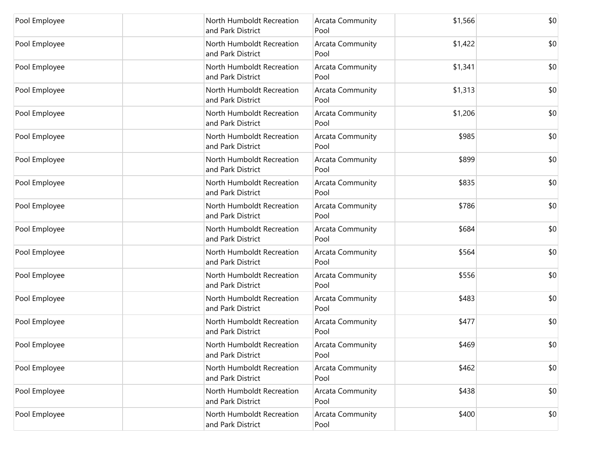| Pool Employee | North Humboldt Recreation<br>and Park District | Arcata Community<br>Pool        | \$1,566 | \$0 |
|---------------|------------------------------------------------|---------------------------------|---------|-----|
| Pool Employee | North Humboldt Recreation<br>and Park District | <b>Arcata Community</b><br>Pool | \$1,422 | \$0 |
| Pool Employee | North Humboldt Recreation<br>and Park District | Arcata Community<br>Pool        | \$1,341 | \$0 |
| Pool Employee | North Humboldt Recreation<br>and Park District | Arcata Community<br>Pool        | \$1,313 | \$0 |
| Pool Employee | North Humboldt Recreation<br>and Park District | Arcata Community<br>Pool        | \$1,206 | \$0 |
| Pool Employee | North Humboldt Recreation<br>and Park District | Arcata Community<br>Pool        | \$985   | \$0 |
| Pool Employee | North Humboldt Recreation<br>and Park District | Arcata Community<br>Pool        | \$899   | \$0 |
| Pool Employee | North Humboldt Recreation<br>and Park District | Arcata Community<br>Pool        | \$835   | \$0 |
| Pool Employee | North Humboldt Recreation<br>and Park District | Arcata Community<br>Pool        | \$786   | \$0 |
| Pool Employee | North Humboldt Recreation<br>and Park District | <b>Arcata Community</b><br>Pool | \$684   | \$0 |
| Pool Employee | North Humboldt Recreation<br>and Park District | Arcata Community<br>Pool        | \$564   | \$0 |
| Pool Employee | North Humboldt Recreation<br>and Park District | Arcata Community<br>Pool        | \$556   | \$0 |
| Pool Employee | North Humboldt Recreation<br>and Park District | Arcata Community<br>Pool        | \$483   | \$0 |
| Pool Employee | North Humboldt Recreation<br>and Park District | Arcata Community<br>Pool        | \$477   | \$0 |
| Pool Employee | North Humboldt Recreation<br>and Park District | Arcata Community<br>Pool        | \$469   | \$0 |
| Pool Employee | North Humboldt Recreation<br>and Park District | Arcata Community<br>Pool        | \$462   | \$0 |
| Pool Employee | North Humboldt Recreation<br>and Park District | <b>Arcata Community</b><br>Pool | \$438   | \$0 |
| Pool Employee | North Humboldt Recreation<br>and Park District | <b>Arcata Community</b><br>Pool | \$400   | \$0 |